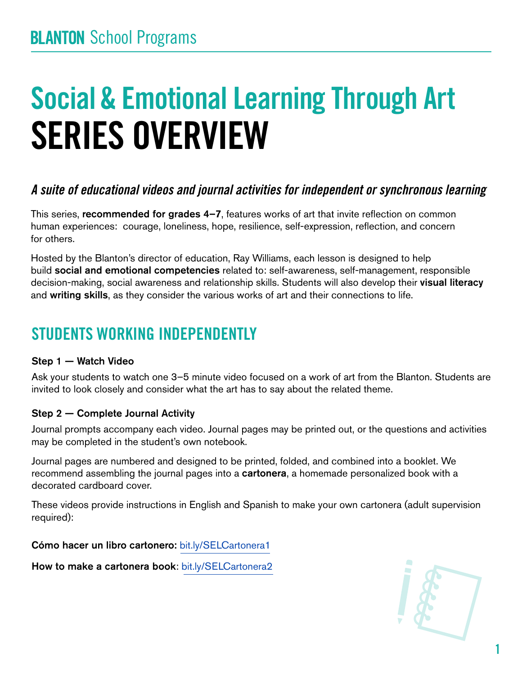# Social & Emotional Learning Through Art SERIES OVERVIEW

## *A suite of educational videos and journal activities for independent or synchronous learning*

This series, recommended for grades 4–7, features works of art that invite reflection on common human experiences: courage, loneliness, hope, resilience, self-expression, reflection, and concern for others.

Hosted by the Blanton's director of education, Ray Williams, each lesson is designed to help build social and emotional competencies related to: self-awareness, self-management, responsible decision-making, social awareness and relationship skills. Students will also develop their visual literacy and writing skills, as they consider the various works of art and their connections to life.

## STUDENTS WORKING INDEPENDENTLY

#### Step 1 — Watch Video

Ask your students to watch one 3–5 minute video focused on a work of art from the Blanton. Students are invited to look closely and consider what the art has to say about the related theme.

#### Step 2 — Complete Journal Activity

Journal prompts accompany each video. Journal pages may be printed out, or the questions and activities may be completed in the student's own notebook.

Journal pages are numbered and designed to be printed, folded, and combined into a booklet. We recommend assembling the journal pages into a cartonera, a homemade personalized book with a decorated cardboard cover.

These videos provide instructions in English and Spanish to make your own cartonera (adult supervision required):

Cómo hacer un libro cartonero: [bit.ly/SELCartonera1](http://bit.ly/SELCartonera1)

How to make a cartonera book: [bit.ly/SELCartonera2](http://bit.ly/SELCartonera2)

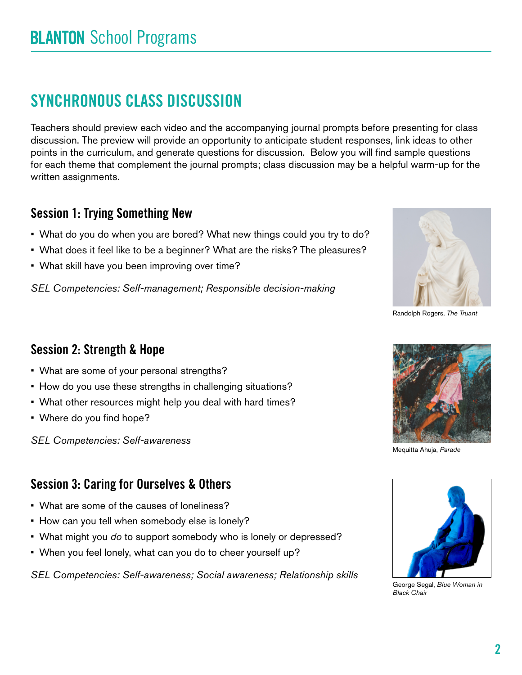# SYNCHRONOUS CLASS DISCUSSION

Teachers should preview each video and the accompanying journal prompts before presenting for class discussion. The preview will provide an opportunity to anticipate student responses, link ideas to other points in the curriculum, and generate questions for discussion. Below you will find sample questions for each theme that complement the journal prompts; class discussion may be a helpful warm-up for the written assignments.

### Session 1: Trying Something New

- What do you do when you are bored? What new things could you try to do?
- What does it feel like to be a beginner? What are the risks? The pleasures?
- What skill have you been improving over time?

*SEL Competencies: Self-management; Responsible decision-making*



Randolph Rogers, *The Truant*

### Session 2: Strength & Hope

- What are some of your personal strengths?
- How do you use these strengths in challenging situations?
- What other resources might help you deal with hard times?
- Where do you find hope?

*SEL Competencies: Self-awareness*

### Session 3: Caring for Ourselves & Others

- What are some of the causes of loneliness?
- How can you tell when somebody else is lonely?
- What might you *do* to support somebody who is lonely or depressed?
- When you feel lonely, what can you do to cheer yourself up?

*SEL Competencies: Self-awareness; Social awareness; Relationship skills*



Mequitta Ahuja, *Parade*



George Segal, *Blue Woman in Black Chair*